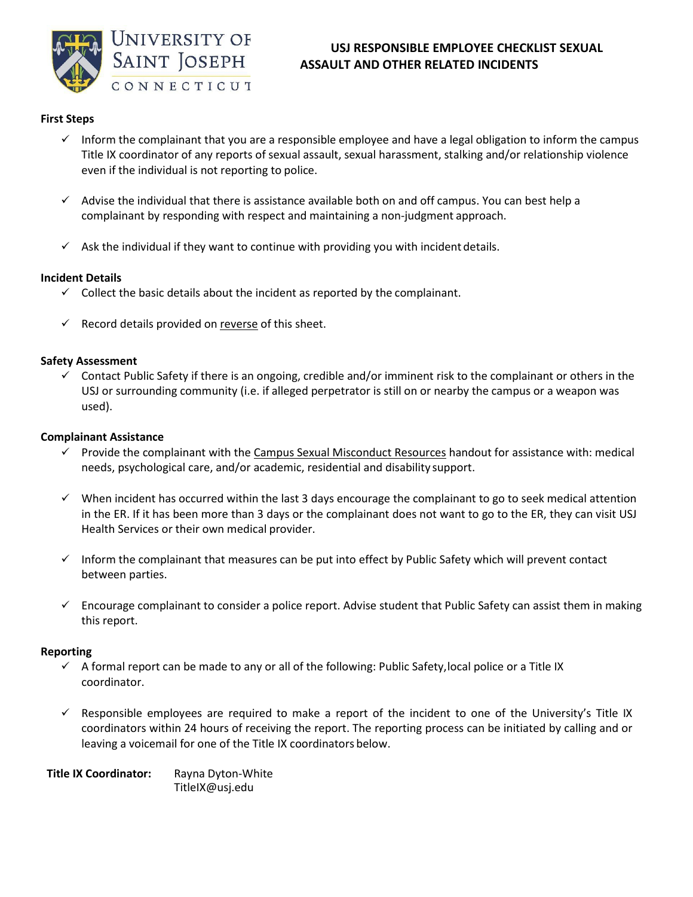

# **USJ RESPONSIBLE EMPLOYEE CHECKLIST SEXUAL ASSAULT AND OTHER RELATED INCIDENTS**

## **First Steps**

- $\checkmark$  Inform the complainant that you are a responsible employee and have a legal obligation to inform the campus Title IX coordinator of any reports of sexual assault, sexual harassment, stalking and/or relationship violence even if the individual is not reporting to police.
- Advise the individual that there is assistance available both on and off campus. You can best help a complainant by responding with respect and maintaining a non-judgment approach.
- $\checkmark$  Ask the individual if they want to continue with providing you with incident details.

## **Incident Details**

- $\checkmark$  Collect the basic details about the incident as reported by the complainant.
- $\checkmark$  Record details provided on reverse of this sheet.

#### **Safety Assessment**

 $\checkmark$  Contact Public Safety if there is an ongoing, credible and/or imminent risk to the complainant or others in the USJ or surrounding community (i.e. if alleged perpetrator is still on or nearby the campus or a weapon was used).

#### **Complainant Assistance**

- $\checkmark$  Provide the complainant with the Campus Sexual Misconduct Resources handout for assistance with: medical needs, psychological care, and/or academic, residential and disability support.
- $\checkmark$  When incident has occurred within the last 3 days encourage the complainant to go to seek medical attention in the ER. If it has been more than 3 days or the complainant does not want to go to the ER, they can visit USJ Health Services or their own medical provider.
- $\checkmark$  Inform the complainant that measures can be put into effect by Public Safety which will prevent contact between parties.
- $\checkmark$  Encourage complainant to consider a police report. Advise student that Public Safety can assist them in making this report.

## **Reporting**

- $\checkmark$  A formal report can be made to any or all of the following: Public Safety, local police or a Title IX coordinator.
- $\checkmark$  Responsible employees are required to make a report of the incident to one of the University's Title IX coordinators within 24 hours of receiving the report. The reporting process can be initiated by calling and or leaving a voicemail for one of the Title IX coordinators below.

**Title IX Coordinator:** Rayna Dyton-White [TitleIX@usj.edu](mailto:TitleIX@usj.edu)